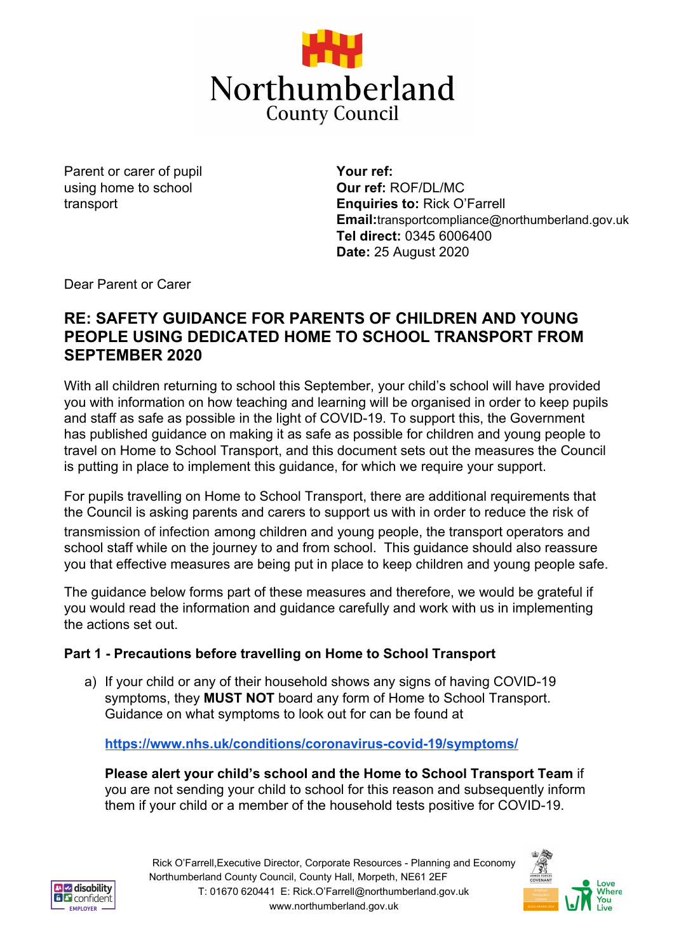

Parent or carer of pupil using home to school transport

**Your ref: Our ref:** ROF/DL/MC **Enquiries to:** Rick O'Farrell **Email:**transportcompliance@northumberland.gov.uk **Tel direct:** 0345 6006400 **Date:** 25 August 2020

Dear Parent or Carer

# **RE: SAFETY GUIDANCE FOR PARENTS OF CHILDREN AND YOUNG PEOPLE USING DEDICATED HOME TO SCHOOL TRANSPORT FROM SEPTEMBER 2020**

With all children returning to school this September, your child's school will have provided you with information on how teaching and learning will be organised in order to keep pupils and staff as safe as possible in the light of COVID-19. To support this, the Government has published guidance on making it as safe as possible for children and young people to travel on Home to School Transport, and this document sets out the measures the Council is putting in place to implement this guidance, for which we require your support.

For pupils travelling on Home to School Transport, there are additional requirements that the Council is asking parents and carers to support us with in order to reduce the risk of transmission of infection among children and young people, the transport operators and school staff while on the journey to and from school. This guidance should also reassure you that effective measures are being put in place to keep children and young people safe.

The guidance below forms part of these measures and therefore, we would be grateful if you would read the information and guidance carefully and work with us in implementing the actions set out.

## **Part 1 - Precautions before travelling on Home to School Transport**

a) If your child or any of their household shows any signs of having COVID-19 symptoms, they **MUST NOT** board any form of Home to School Transport. Guidance on what symptoms to look out for can be found at

#### **<https://www.nhs.uk/conditions/coronavirus-covid-19/symptoms/>**

**Please alert your child's school and the Home to School Transport Team** if you are not sending your child to school for this reason and subsequently inform them if your child or a member of the household tests positive for COVID-19.



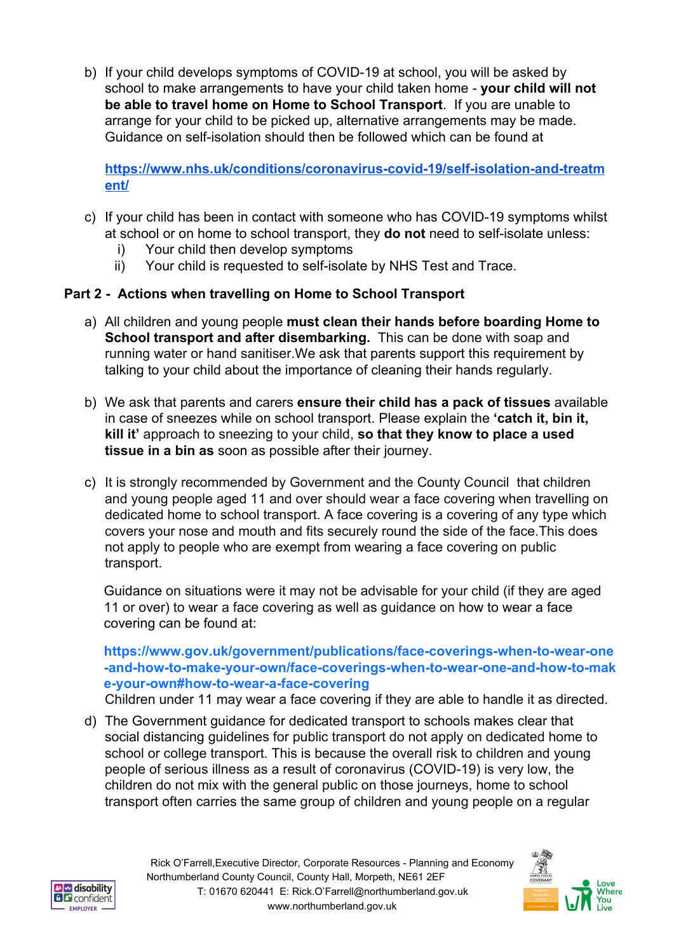b) If your child develops symptoms of COVID-19 at school, you will be asked by school to make arrangements to have your child taken home - **your child will not be able to travel home on Home to School Transport**. If you are unable to arrange for your child to be picked up, alternative arrangements may be made. Guidance on self-isolation should then be followed which can be found at

**[https://www.nhs.uk/conditions/coronavirus-covid-19/self-isolation-and-treatm](https://www.nhs.uk/conditions/coronavirus-covid-19/self-isolation-and-treatment/) [ent/](https://www.nhs.uk/conditions/coronavirus-covid-19/self-isolation-and-treatment/)**

- c) If your child has been in contact with someone who has COVID-19 symptoms whilst at school or on home to school transport, they **do not** need to self-isolate unless:
	- i) Your child then develop symptoms
	- ii) Your child is requested to self-isolate by NHS Test and Trace.

## **Part 2 - Actions when travelling on Home to School Transport**

- a) All children and young people **must clean their hands before boarding Home to School transport and after disembarking.** This can be done with soap and running water or hand sanitiser.We ask that parents support this requirement by talking to your child about the importance of cleaning their hands regularly.
- b) We ask that parents and carers **ensure their child has a pack of tissues** available in case of sneezes while on school transport. Please explain the **'catch it, bin it, kill it'** approach to sneezing to your child, **so that they know to place a used tissue in a bin as** soon as possible after their journey.
- c) It is strongly recommended by Government and the County Council that children and young people aged 11 and over should wear a face covering when travelling on dedicated home to school transport. A face covering is a covering of any type which covers your nose and mouth and fits securely round the side of the face.This does not apply to people who are exempt from wearing a face covering on public transport.

Guidance on situations were it may not be advisable for your child (if they are aged 11 or over) to wear a face covering as well as guidance on how to wear a face covering can be found at:

### **[https://www.gov.uk/government/publications/face-coverings-when-to-wear-one](https://www.gov.uk/government/publications/face-coverings-when-to-wear-one-and-how-to-make-your-own/face-coverings-when-to-wear-one-and-how-to-make-your-own#how-to-wear-a-face-covering) [-and-how-to-make-your-own/face-coverings-when-to-wear-one-and-how-to-mak](https://www.gov.uk/government/publications/face-coverings-when-to-wear-one-and-how-to-make-your-own/face-coverings-when-to-wear-one-and-how-to-make-your-own#how-to-wear-a-face-covering) [e-your-own#how-to-wear-a-face-covering](https://www.gov.uk/government/publications/face-coverings-when-to-wear-one-and-how-to-make-your-own/face-coverings-when-to-wear-one-and-how-to-make-your-own#how-to-wear-a-face-covering)**

Children under 11 may wear a face covering if they are able to handle it as directed.

d) The Government guidance for dedicated transport to schools makes clear that social distancing guidelines for public transport do not apply on dedicated home to school or college transport. This is because the overall risk to children and young people of serious illness as a result of coronavirus (COVID-19) is very low, the children do not mix with the general public on those journeys, home to school transport often carries the same group of children and young people on a regular